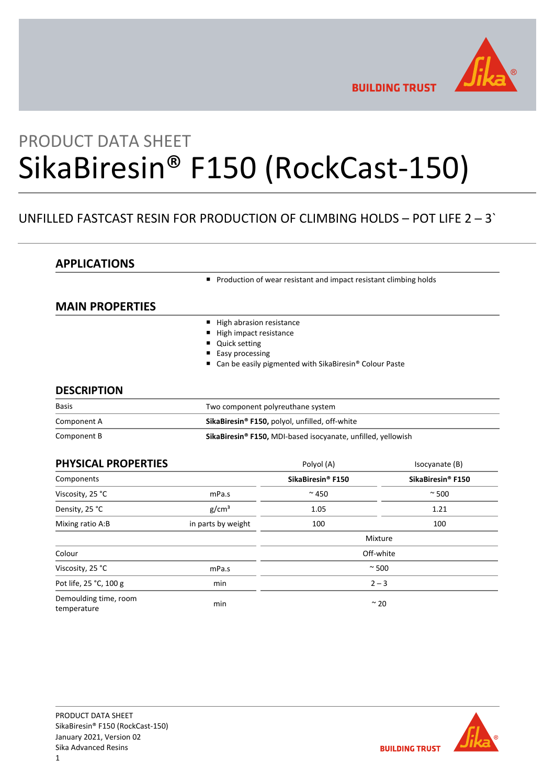

**BUILDING TRUST** 

# PRODUCT DATA SHEET SikaBiresin® F150 (RockCast-150)

# UNFILLED FASTCAST RESIN FOR PRODUCTION OF CLIMBING HOLDS – POT LIFE 2 ─ 3`

# **APPLICATIONS**

**Production of wear resistant and impact resistant climbing holds** 

# **MAIN PROPERTIES**

- High abrasion resistance
- High impact resistance
- Quick setting
- Easy processing
- Can be easily pigmented with SikaBiresin<sup>®</sup> Colour Paste

# **DESCRIPTION**

| <b>Basis</b> | Two component polyreuthane system                                              |  |
|--------------|--------------------------------------------------------------------------------|--|
| Component A  | SikaBiresin <sup>®</sup> F150, polyol, unfilled, off-white                     |  |
| Component B  | <b>SikaBiresin<sup>®</sup> F150, MDI-based isocyanate, unfilled, yellowish</b> |  |

| PHYSICAL PROPERTIES                  |                    | Polyol (A)                    | Isocyanate (B)                |
|--------------------------------------|--------------------|-------------------------------|-------------------------------|
| Components                           |                    | SikaBiresin <sup>®</sup> F150 | SikaBiresin <sup>®</sup> F150 |
| Viscosity, 25 °C                     | mPa.s              | $~\sim$ 450                   | $~\sim$ 500                   |
| Density, 25 °C                       | g/cm <sup>3</sup>  | 1.05                          | 1.21                          |
| Mixing ratio A:B                     | in parts by weight | 100                           | 100                           |
|                                      |                    |                               | Mixture                       |
| Colour                               |                    |                               | Off-white                     |
| Viscosity, 25 °C                     | mPa.s              | $~\sim$ 500                   |                               |
| Pot life, 25 °C, 100 g               | min                | $2 - 3$                       |                               |
| Demoulding time, room<br>temperature | min                | $~\sim$ 20                    |                               |

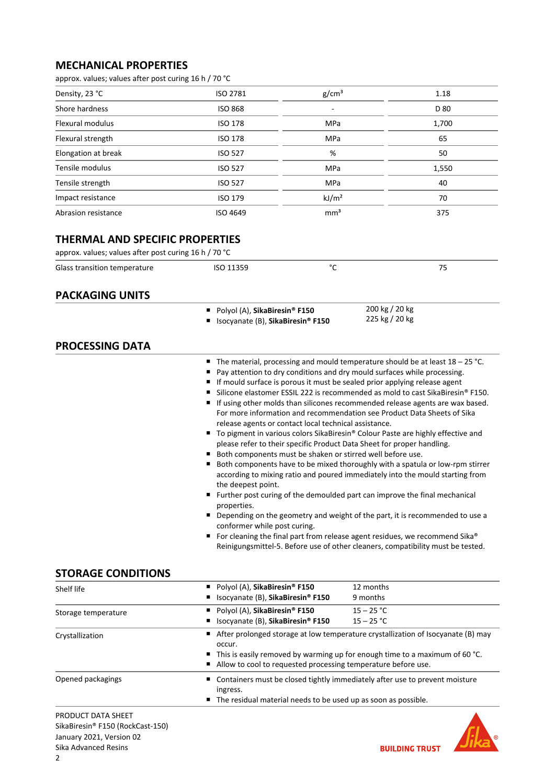# **MECHANICAL PROPERTIES**

approx. values; values after post curing 16 h / 70 °C

| Density, 23 °C          | ISO 2781       | g/cm <sup>3</sup> | 1.18  |
|-------------------------|----------------|-------------------|-------|
| Shore hardness          | <b>ISO 868</b> |                   | D 80  |
| <b>Flexural modulus</b> | <b>ISO 178</b> | <b>MPa</b>        | 1,700 |
| Flexural strength       | <b>ISO 178</b> | <b>MPa</b>        | 65    |
| Elongation at break     | <b>ISO 527</b> | %                 | 50    |
| Tensile modulus         | <b>ISO 527</b> | <b>MPa</b>        | 1,550 |
| Tensile strength        | <b>ISO 527</b> | <b>MPa</b>        | 40    |
| Impact resistance       | <b>ISO 179</b> | kJ/m <sup>2</sup> | 70    |
| Abrasion resistance     | ISO 4649       | mm <sup>3</sup>   | 375   |

# **THERMAL AND SPECIFIC PROPERTIES**

| approx. values; values after post curing 16 h / 70 °C |           |  |    |  |
|-------------------------------------------------------|-----------|--|----|--|
| Glass transition temperature                          | ISO 11359 |  | 75 |  |
|                                                       |           |  |    |  |

# **PACKAGING UNITS**

- Polyol (A), **SikaBiresin<sup>®</sup> F150**
- Isocyanate (B), SikaBiresin<sup>®</sup> F150

# **PROCESSING DATA**

■ The material, processing and mould temperature should be at least 18 - 25 °C.

200 kg / 20 kg 225 kg / 20 kg

- Pay attention to dry conditions and dry mould surfaces while processing.
- If mould surface is porous it must be sealed prior applying release agent
- Silicone elastomer ESSIL 222 is recommended as mold to cast SikaBiresin® F150.
- If using other molds than silicones recommended release agents are wax based. For more information and recommendation see Product Data Sheets of Sika release agents or contact local technical assistance.
- To pigment in various colors SikaBiresin® Colour Paste are highly effective and please refer to their specific Product Data Sheet for proper handling.
- Both components must be shaken or stirred well before use.
- Both components have to be mixed thoroughly with a spatula or low-rpm stirrer according to mixing ratio and poured immediately into the mould starting from the deepest point.
- Further post curing of the demoulded part can improve the final mechanical properties.
- Depending on the geometry and weight of the part, it is recommended to use a conformer while post curing.
- For cleaning the final part from release agent residues, we recommend Sika® Reinigungsmittel-5. Before use of other cleaners, compatibility must be tested.

# **STORAGE CONDITIONS**

| Shelf life          | ■ Polyol (A), SikaBiresin® F150<br>12 months                                                                                                                                                                                                                |                                                                                                                                                   |  |
|---------------------|-------------------------------------------------------------------------------------------------------------------------------------------------------------------------------------------------------------------------------------------------------------|---------------------------------------------------------------------------------------------------------------------------------------------------|--|
|                     | Isocyanate (B), SikaBiresin® F150<br>$\blacksquare$                                                                                                                                                                                                         | 9 months                                                                                                                                          |  |
| Storage temperature | ■ Polyol (A), SikaBiresin® F150                                                                                                                                                                                                                             | $15 - 25 °C$                                                                                                                                      |  |
|                     | ■ Isocyanate (B), SikaBiresin® F150                                                                                                                                                                                                                         | $15 - 25 °C$                                                                                                                                      |  |
| Crystallization     | ■ After prolonged storage at low temperature crystallization of Isocyanate (B) may<br>occur.<br>$\blacksquare$ This is easily removed by warming up for enough time to a maximum of 60 °C.<br>Allow to cool to requested processing temperature before use. |                                                                                                                                                   |  |
| Opened packagings   | ingress.                                                                                                                                                                                                                                                    | ■ Containers must be closed tightly immediately after use to prevent moisture<br>■ The residual material needs to be used up as soon as possible. |  |

PRODUCT DATA SHEET SikaBiresin® F150 (RockCast-150) January 2021, Version 02 Sika Advanced Resins

**BUILDING TRUST**